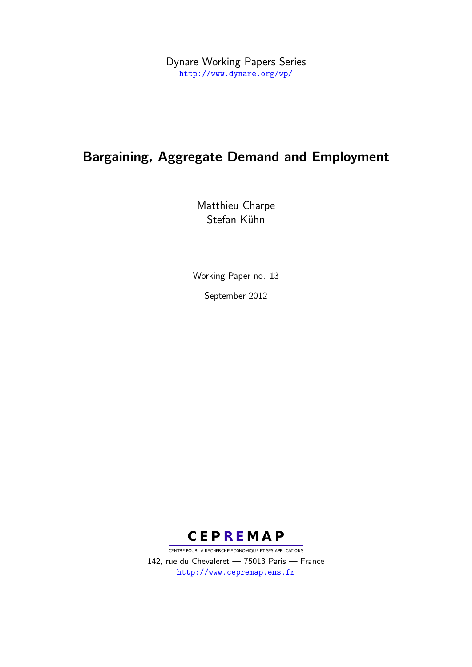Dynare Working Papers Series <http://www.dynare.org/wp/>

# Bargaining, Aggregate Demand and Employment

Matthieu Charpe Stefan Kühn

Working Paper no. 13

September 2012



CENTRE POUR LA RECHERCHE ECONOMIQUE ET SES APPLICATIONS 142, rue du Chevaleret — 75013 Paris — France <http://www.cepremap.ens.fr>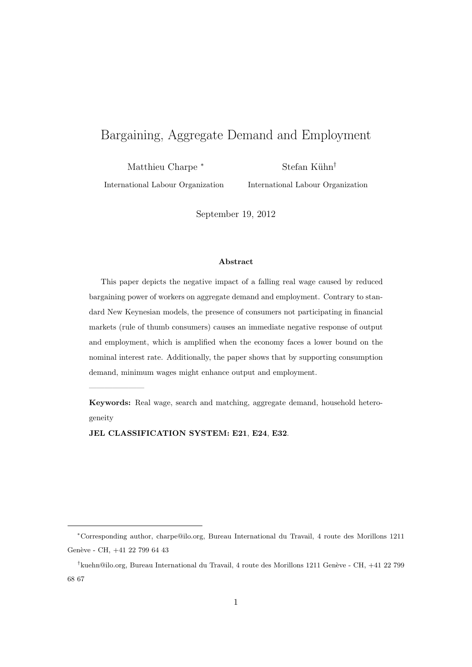# Bargaining, Aggregate Demand and Employment

Matthieu Charpe *<sup>∗</sup>*

Stefan K¨uhn*†*

International Labour Organization

International Labour Organization

September 19, 2012

#### **Abstract**

This paper depicts the negative impact of a falling real wage caused by reduced bargaining power of workers on aggregate demand and employment. Contrary to standard New Keynesian models, the presence of consumers not participating in financial markets (rule of thumb consumers) causes an immediate negative response of output and employment, which is amplified when the economy faces a lower bound on the nominal interest rate. Additionally, the paper shows that by supporting consumption demand, minimum wages might enhance output and employment.

**Keywords:** Real wage, search and matching, aggregate demand, household heterogeneity

**JEL CLASSIFICATION SYSTEM: E21**, **E24**, **E32**.

———————

*<sup>∗</sup>*Corresponding author, charpe@ilo.org, Bureau International du Travail, 4 route des Morillons 1211 Genève - CH,  $+41$  22 799 64 43

<sup>&</sup>lt;sup>†</sup> kuehn@ilo.org, Bureau International du Travail, 4 route des Morillons 1211 Genève - CH, +41 22 799 68 67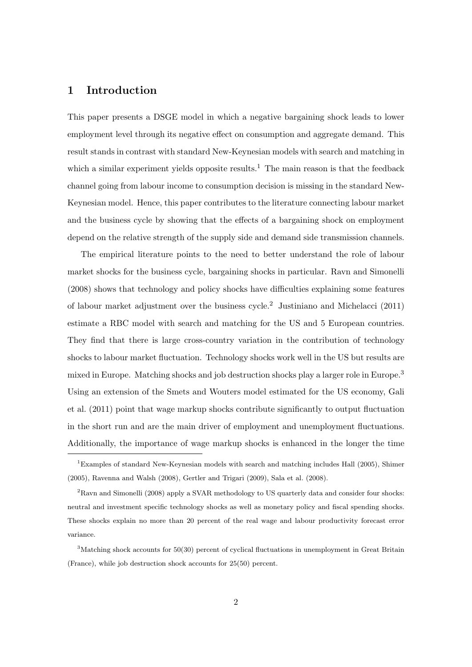# **1 Introduction**

This paper presents a DSGE model in which a negative bargaining shock leads to lower employment level through its negative effect on consumption and aggregate demand. This result stands in contrast with standard New-Keynesian models with search and matching in which a similar experiment yields opposite results.<sup>1</sup> The main reason is that the feedback channel going from labour income to consumption decision is missing in the standard New-Keynesian model. Hence, this paper contributes to the literature connecting labour market and the business cycle by showing that the effects of a bargaining shock on employment depend on the relative strength of the supply side and demand side transmission channels.

The empirical literature points to the need to better understand the role of labour market shocks for the business cycle, bargaining shocks in particular. Ravn and Simonelli (2008) shows that technology and policy shocks have difficulties explaining some features of labour market adjustment over the business cycle.<sup>2</sup> Justiniano and Michelacci  $(2011)$ estimate a RBC model with search and matching for the US and 5 European countries. They find that there is large cross-country variation in the contribution of technology shocks to labour market fluctuation. Technology shocks work well in the US but results are mixed in Europe. Matching shocks and job destruction shocks play a larger role in Europe.<sup>3</sup> Using an extension of the Smets and Wouters model estimated for the US economy, Gali et al. (2011) point that wage markup shocks contribute significantly to output fluctuation in the short run and are the main driver of employment and unemployment fluctuations. Additionally, the importance of wage markup shocks is enhanced in the longer the time

<sup>1</sup>Examples of standard New-Keynesian models with search and matching includes Hall (2005), Shimer (2005), Ravenna and Walsh (2008), Gertler and Trigari (2009), Sala et al. (2008).

<sup>2</sup>Ravn and Simonelli (2008) apply a SVAR methodology to US quarterly data and consider four shocks: neutral and investment specific technology shocks as well as monetary policy and fiscal spending shocks. These shocks explain no more than 20 percent of the real wage and labour productivity forecast error variance.

 $3$ Matching shock accounts for  $50(30)$  percent of cyclical fluctuations in unemployment in Great Britain (France), while job destruction shock accounts for 25(50) percent.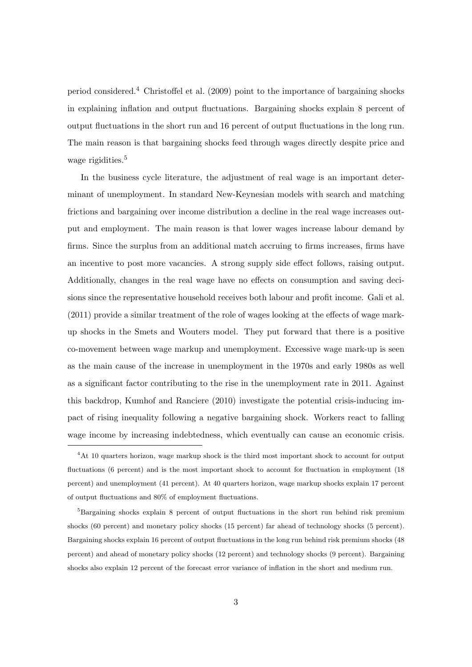period considered.<sup>4</sup> Christoffel et al. (2009) point to the importance of bargaining shocks in explaining inflation and output fluctuations. Bargaining shocks explain 8 percent of output fluctuations in the short run and 16 percent of output fluctuations in the long run. The main reason is that bargaining shocks feed through wages directly despite price and wage rigidities.<sup>5</sup>

In the business cycle literature, the adjustment of real wage is an important determinant of unemployment. In standard New-Keynesian models with search and matching frictions and bargaining over income distribution a decline in the real wage increases output and employment. The main reason is that lower wages increase labour demand by firms. Since the surplus from an additional match accruing to firms increases, firms have an incentive to post more vacancies. A strong supply side effect follows, raising output. Additionally, changes in the real wage have no effects on consumption and saving decisions since the representative household receives both labour and profit income. Gali et al. (2011) provide a similar treatment of the role of wages looking at the effects of wage markup shocks in the Smets and Wouters model. They put forward that there is a positive co-movement between wage markup and unemployment. Excessive wage mark-up is seen as the main cause of the increase in unemployment in the 1970s and early 1980s as well as a significant factor contributing to the rise in the unemployment rate in 2011. Against this backdrop, Kumhof and Ranciere (2010) investigate the potential crisis-inducing impact of rising inequality following a negative bargaining shock. Workers react to falling wage income by increasing indebtedness, which eventually can cause an economic crisis.

<sup>&</sup>lt;sup>4</sup>At 10 quarters horizon, wage markup shock is the third most important shock to account for output fluctuations (6 percent) and is the most important shock to account for fluctuation in employment (18 percent) and unemployment (41 percent). At 40 quarters horizon, wage markup shocks explain 17 percent of output fluctuations and 80% of employment fluctuations.

 ${}^{5}$ Bargaining shocks explain 8 percent of output fluctuations in the short run behind risk premium shocks (60 percent) and monetary policy shocks (15 percent) far ahead of technology shocks (5 percent). Bargaining shocks explain 16 percent of output fluctuations in the long run behind risk premium shocks (48 percent) and ahead of monetary policy shocks (12 percent) and technology shocks (9 percent). Bargaining shocks also explain 12 percent of the forecast error variance of inflation in the short and medium run.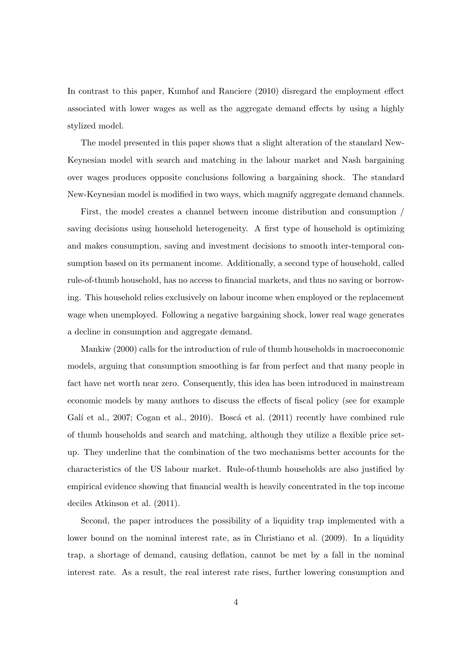In contrast to this paper, Kumhof and Ranciere (2010) disregard the employment effect associated with lower wages as well as the aggregate demand effects by using a highly stylized model.

The model presented in this paper shows that a slight alteration of the standard New-Keynesian model with search and matching in the labour market and Nash bargaining over wages produces opposite conclusions following a bargaining shock. The standard New-Keynesian model is modified in two ways, which magnify aggregate demand channels.

First, the model creates a channel between income distribution and consumption / saving decisions using household heterogeneity. A first type of household is optimizing and makes consumption, saving and investment decisions to smooth inter-temporal consumption based on its permanent income. Additionally, a second type of household, called rule-of-thumb household, has no access to financial markets, and thus no saving or borrowing. This household relies exclusively on labour income when employed or the replacement wage when unemployed. Following a negative bargaining shock, lower real wage generates a decline in consumption and aggregate demand.

Mankiw (2000) calls for the introduction of rule of thumb households in macroeconomic models, arguing that consumption smoothing is far from perfect and that many people in fact have net worth near zero. Consequently, this idea has been introduced in mainstream economic models by many authors to discuss the effects of fiscal policy (see for example Galí et al., 2007; Cogan et al., 2010). Boscá et al. (2011) recently have combined rule of thumb households and search and matching, although they utilize a flexible price setup. They underline that the combination of the two mechanisms better accounts for the characteristics of the US labour market. Rule-of-thumb households are also justified by empirical evidence showing that financial wealth is heavily concentrated in the top income deciles Atkinson et al. (2011).

Second, the paper introduces the possibility of a liquidity trap implemented with a lower bound on the nominal interest rate, as in Christiano et al.  $(2009)$ . In a liquidity trap, a shortage of demand, causing deflation, cannot be met by a fall in the nominal interest rate. As a result, the real interest rate rises, further lowering consumption and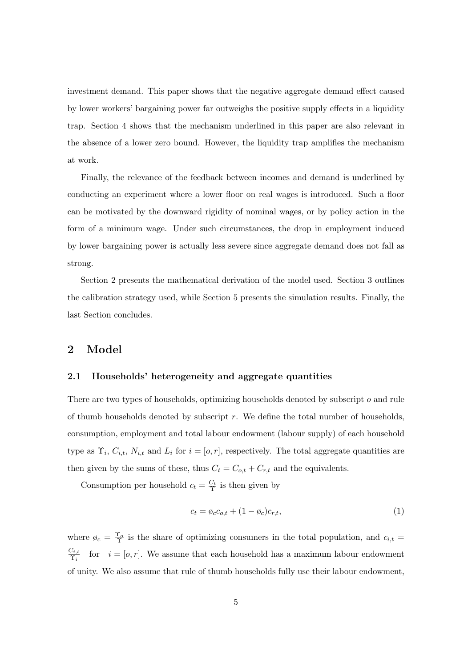investment demand. This paper shows that the negative aggregate demand effect caused by lower workers' bargaining power far outweighs the positive supply effects in a liquidity trap. Section 4 shows that the mechanism underlined in this paper are also relevant in the absence of a lower zero bound. However, the liquidity trap amplifies the mechanism at work.

Finally, the relevance of the feedback between incomes and demand is underlined by conducting an experiment where a lower floor on real wages is introduced. Such a floor can be motivated by the downward rigidity of nominal wages, or by policy action in the form of a minimum wage. Under such circumstances, the drop in employment induced by lower bargaining power is actually less severe since aggregate demand does not fall as strong.

Section 2 presents the mathematical derivation of the model used. Section 3 outlines the calibration strategy used, while Section 5 presents the simulation results. Finally, the last Section concludes.

## **2 Model**

### **2.1 Households' heterogeneity and aggregate quantities**

There are two types of households, optimizing households denoted by subscript *o* and rule of thumb households denoted by subscript *r*. We define the total number of households, consumption, employment and total labour endowment (labour supply) of each household type as  $\Upsilon_i$ ,  $C_{i,t}$ ,  $N_{i,t}$  and  $L_i$  for  $i = [o, r]$ , respectively. The total aggregate quantities are then given by the sums of these, thus  $C_t = C_{o,t} + C_{r,t}$  and the equivalents.

Consumption per household  $c_t = \frac{C_t}{\Upsilon}$  is then given by

$$
c_t = \phi_c c_{o,t} + (1 - \phi_c)c_{r,t},\tag{1}
$$

where  $\varphi_c = \frac{\Upsilon_o}{\Upsilon}$  is the share of optimizing consumers in the total population, and  $c_{i,t}$  $C_{i,t}$  $\hat{\Upsilon}_{i,t}^{i,t}$  for  $i = [o,r]$ . We assume that each household has a maximum labour endowment of unity. We also assume that rule of thumb households fully use their labour endowment,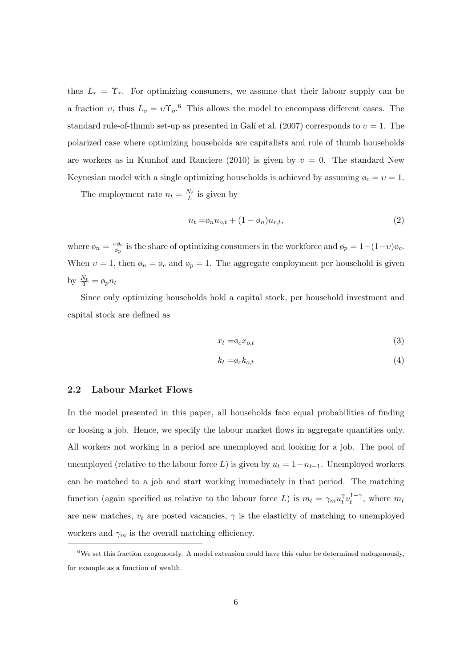thus  $L_r = \Upsilon_r$ . For optimizing consumers, we assume that their labour supply can be a fraction *v*, thus  $L_o = v \Upsilon_o$ <sup>6</sup>. This allows the model to encompass different cases. The standard rule-of-thumb set-up as presented in Galí et al.  $(2007)$  corresponds to  $v = 1$ . The polarized case where optimizing households are capitalists and rule of thumb households are workers as in Kumhof and Ranciere (2010) is given by  $v = 0$ . The standard New Keynesian model with a single optimizing households is achieved by assuming  $\phi_c = v = 1$ .

The employment rate  $n_t = \frac{N_t}{L}$  is given by

$$
n_t = \phi_n n_{o,t} + (1 - \phi_n) n_{r,t},\tag{2}
$$

where  $\varphi_n = \frac{v \varphi_c}{\varphi_n}$  $\frac{\partial \phi_c}{\partial p}$  is the share of optimizing consumers in the workforce and  $\phi_p = 1-(1-\nu)\phi_c$ . When  $v = 1$ , then  $\phi_n = \phi_c$  and  $\phi_p = 1$ . The aggregate employment per household is given by  $\frac{N_t}{\Upsilon} = \phi_p n_t$ 

Since only optimizing households hold a capital stock, per household investment and capital stock are defined as

$$
x_t = \phi_c x_{o,t} \tag{3}
$$

$$
k_t = \phi_c k_{o,t} \tag{4}
$$

### **2.2 Labour Market Flows**

In the model presented in this paper, all households face equal probabilities of finding or loosing a job. Hence, we specify the labour market flows in aggregate quantities only. All workers not working in a period are unemployed and looking for a job. The pool of unemployed (relative to the labour force *L*) is given by  $u_t = 1 - n_{t-1}$ . Unemployed workers can be matched to a job and start working immediately in that period. The matching function (again specified as relative to the labour force *L*) is  $m_t = \gamma_m u_t^{\gamma}$  $\gamma_t^{\gamma} v_t^{1-\gamma}$ , where  $m_t$ are new matches,  $v_t$  are posted vacancies,  $\gamma$  is the elasticity of matching to unemployed workers and  $\gamma_m$  is the overall matching efficiency.

 $6$ We set this fraction exogenously. A model extension could have this value be determined endogenously, for example as a function of wealth.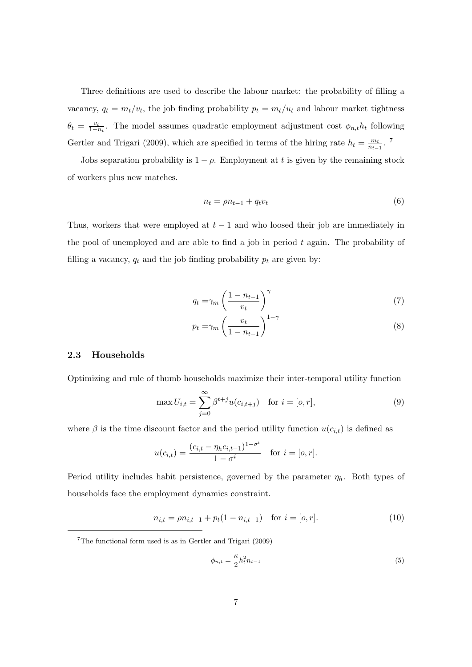Three definitions are used to describe the labour market: the probability of filling a vacancy,  $q_t = m_t/v_t$ , the job finding probability  $p_t = m_t/u_t$  and labour market tightness  $\theta_t = \frac{v_t}{1-t}$  $\frac{v_t}{1-n_t}$ . The model assumes quadratic employment adjustment cost  $\phi_{n,t}h_t$  following Gertler and Trigari (2009), which are specified in terms of the hiring rate  $h_t = \frac{m_t}{n_t}$  $\frac{m_t}{n_{t-1}}$ . 7

Jobs separation probability is  $1 - \rho$ . Employment at *t* is given by the remaining stock of workers plus new matches.

$$
n_t = \rho n_{t-1} + q_t v_t \tag{6}
$$

Thus, workers that were employed at *t −* 1 and who loosed their job are immediately in the pool of unemployed and are able to find a job in period *t* again. The probability of filling a vacancy,  $q_t$  and the job finding probability  $p_t$  are given by:

$$
q_t = \gamma_m \left(\frac{1 - n_{t-1}}{v_t}\right)^{\gamma}
$$
\n<sup>(7)</sup>

$$
p_t = \gamma_m \left(\frac{v_t}{1 - n_{t-1}}\right)^{1 - \gamma} \tag{8}
$$

### **2.3 Households**

Optimizing and rule of thumb households maximize their inter-temporal utility function

$$
\max U_{i,t} = \sum_{j=0}^{\infty} \beta^{t+j} u(c_{i,t+j}) \text{ for } i = [o, r],
$$
 (9)

where  $\beta$  is the time discount factor and the period utility function  $u(c_{i,t})$  is defined as

$$
u(c_{i,t}) = \frac{(c_{i,t} - \eta_h c_{i,t-1})^{1-\sigma^i}}{1-\sigma^i} \text{ for } i = [o, r].
$$

Period utility includes habit persistence, governed by the parameter *ηh*. Both types of households face the employment dynamics constraint.

$$
n_{i,t} = \rho n_{i,t-1} + p_t (1 - n_{i,t-1}) \quad \text{for } i = [o, r]. \tag{10}
$$

$$
\phi_{n,t} = \frac{\kappa}{2} h_t^2 n_{t-1} \tag{5}
$$

<sup>7</sup>The functional form used is as in Gertler and Trigari (2009)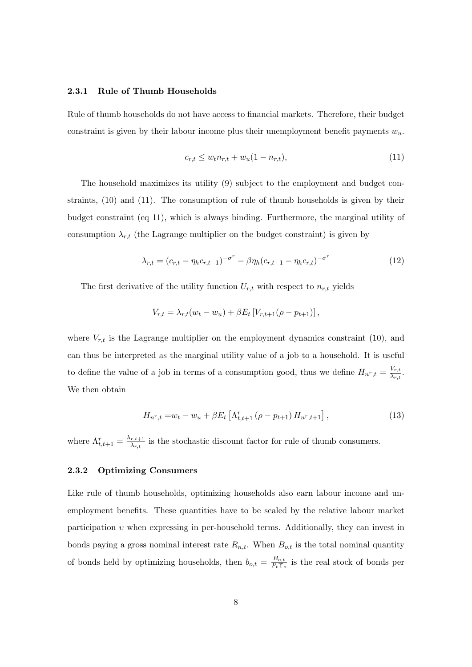### **2.3.1 Rule of Thumb Households**

Rule of thumb households do not have access to financial markets. Therefore, their budget constraint is given by their labour income plus their unemployment benefit payments *wu*.

$$
c_{r,t} \le w_t n_{r,t} + w_u (1 - n_{r,t}),
$$
\n(11)

The household maximizes its utility (9) subject to the employment and budget constraints, (10) and (11). The consumption of rule of thumb households is given by their budget constraint (eq 11), which is always binding. Furthermore, the marginal utility of consumption  $\lambda_{r,t}$  (the Lagrange multiplier on the budget constraint) is given by

$$
\lambda_{r,t} = (c_{r,t} - \eta_h c_{r,t-1})^{-\sigma^r} - \beta \eta_h (c_{r,t+1} - \eta_h c_{r,t})^{-\sigma^r}
$$
(12)

The first derivative of the utility function  $U_{r,t}$  with respect to  $n_{r,t}$  yields

$$
V_{r,t} = \lambda_{r,t}(w_t - w_u) + \beta E_t \left[ V_{r,t+1}(\rho - p_{t+1}) \right],
$$

where  $V_{r,t}$  is the Lagrange multiplier on the employment dynamics constraint (10), and can thus be interpreted as the marginal utility value of a job to a household. It is useful to define the value of a job in terms of a consumption good, thus we define  $H_{n^r,t} = \frac{V_{r,t}}{\lambda_{r,t}}$  $\frac{V_{r,t}}{\lambda_{r,t}}$ . We then obtain

$$
H_{n^r,t} = w_t - w_u + \beta E_t \left[ \Lambda_{t,t+1}^r \left( \rho - p_{t+1} \right) H_{n^r,t+1} \right],
$$
\n(13)

where  $\Lambda_{t,t+1}^r = \frac{\lambda_{r,t+1}}{\lambda_{r,t}}$  $\frac{r,t+1}{\lambda_{r,t}}$  is the stochastic discount factor for rule of thumb consumers.

#### **2.3.2 Optimizing Consumers**

Like rule of thumb households, optimizing households also earn labour income and unemployment benefits. These quantities have to be scaled by the relative labour market participation *υ* when expressing in per-household terms. Additionally, they can invest in bonds paying a gross nominal interest rate  $R_{n,t}$ . When  $B_{o,t}$  is the total nominal quantity of bonds held by optimizing households, then  $b_{o,t} = \frac{B_{o,t}}{P_t \Upsilon}$  $\frac{B_{o,t}}{P_t \Upsilon_o}$  is the real stock of bonds per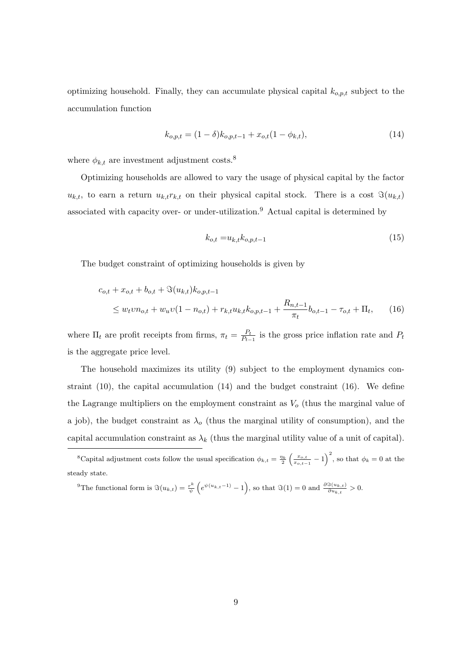optimizing household. Finally, they can accumulate physical capital *ko,p,t* subject to the accumulation function

$$
k_{o,p,t} = (1 - \delta)k_{o,p,t-1} + x_{o,t}(1 - \phi_{k,t}),
$$
\n(14)

where  $\phi_{k,t}$  are investment adjustment costs.<sup>8</sup>

Optimizing households are allowed to vary the usage of physical capital by the factor  $u_{k,t}$ , to earn a return  $u_{k,t}r_{k,t}$  on their physical capital stock. There is a cost  $\Im(u_{k,t})$ associated with capacity over- or under-utilization.<sup>9</sup> Actual capital is determined by

$$
k_{o,t} = u_{k,t} k_{o,p,t-1} \tag{15}
$$

The budget constraint of optimizing households is given by

$$
c_{o,t} + x_{o,t} + b_{o,t} + \Im(u_{k,t})k_{o,p,t-1}
$$
  
\n
$$
\leq w_t v n_{o,t} + w_u v (1 - n_{o,t}) + r_{k,t} u_{k,t} k_{o,p,t-1} + \frac{R_{n,t-1}}{\pi_t} b_{o,t-1} - \tau_{o,t} + \Pi_t,
$$
 (16)

where  $\Pi_t$  are profit receipts from firms,  $\pi_t = \frac{P_t}{P_t}$  $\frac{P_t}{P_{t-1}}$  is the gross price inflation rate and  $P_t$ is the aggregate price level.

The household maximizes its utility (9) subject to the employment dynamics constraint  $(10)$ , the capital accumulation  $(14)$  and the budget constraint  $(16)$ . We define the Lagrange multipliers on the employment constraint as *V<sup>o</sup>* (thus the marginal value of a job), the budget constraint as  $\lambda_o$  (thus the marginal utility of consumption), and the capital accumulation constraint as  $\lambda_k$  (thus the marginal utility value of a unit of capital).

<sup>9</sup>The functional form is  $\Im(u_{k,t}) = \frac{r^k}{\psi}$  $\frac{w^k}{\psi}$   $(e^{\psi(u_{k,t}-1)}-1)$ , so that  $\Im(1)=0$  and  $\frac{\partial \Im(u_{k,t})}{\partial u_{k,t}}>0$ .

<sup>&</sup>lt;sup>8</sup>Capital adjustment costs follow the usual specification  $\phi_{k,t} = \frac{\eta_k}{2} \left( \frac{x_{o,t}}{x_{o,t-1}} - 1 \right)^2$ , so that  $\phi_k = 0$  at the steady state.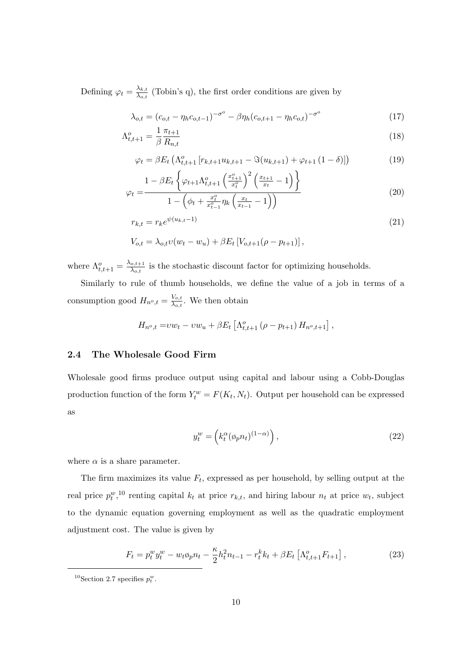Defining  $\varphi_t = \frac{\lambda_{k,t}}{\lambda_{0,t}}$  $\frac{\lambda_{k,t}}{\lambda_{o,t}}$  (Tobin's q), the first order conditions are given by

$$
\lambda_{o,t} = (c_{o,t} - \eta_h c_{o,t-1})^{-\sigma^o} - \beta \eta_h (c_{o,t+1} - \eta_h c_{o,t})^{-\sigma^o}
$$
\n(17)

$$
\Lambda_{t,t+1}^o = \frac{1}{\beta} \frac{\pi_{t+1}}{R_{n,t}} \tag{18}
$$

$$
\varphi_t = \beta E_t \left( \Lambda_{t,t+1}^o \left[ r_{k,t+1} u_{k,t+1} - \Im(u_{k,t+1}) + \varphi_{t+1} \left( 1 - \delta \right) \right] \right) \tag{19}
$$

$$
t = \frac{1 - \beta E_t \left\{ \varphi_{t+1} \Lambda_{t,t+1}^o \left( \frac{x_{t+1}^o}{x_t^o} \right)^2 \left( \frac{x_{t+1}}{x_t} - 1 \right) \right\}}{1 - \left( \phi_t + \frac{x_t^o}{x_{t-1}^o} \eta_k \left( \frac{x_t}{x_{t-1}} - 1 \right) \right)}
$$
(20)

$$
1 - \left(\phi_t + \frac{x_t}{x_{t-1}^2} \eta_k \left(\frac{x_t}{x_{t-1}} - 1\right)\right)
$$
  

$$
r_{k,t} = r_k e^{\psi(u_{k,t} - 1)}
$$
 (21)

$$
V_{o,t} = \lambda_{o,t} v(w_t - w_u) + \beta E_t [V_{o,t+1}(\rho - p_{t+1})],
$$

where  $\Lambda_{t,t+1}^o = \frac{\lambda_{o,t+1}}{\lambda_{o,t}}$  $\frac{\partial}{\partial \lambda_{o,t}}$  is the stochastic discount factor for optimizing households.

Similarly to rule of thumb households, we define the value of a job in terms of a consumption good  $H_{n^o,t} = \frac{V_{o,t}}{\lambda_{o,t}}$  $\frac{V_{o,t}}{\lambda_{o,t}}$ . We then obtain

$$
H_{n^{o},t} = vw_{t} - vw_{u} + \beta E_{t} \left[ \Lambda_{t,t+1}^{o} \left( \rho - p_{t+1} \right) H_{n^{o},t+1} \right],
$$

### **2.4 The Wholesale Good Firm**

*φ<sup>t</sup>* =

Wholesale good firms produce output using capital and labour using a Cobb-Douglas production function of the form  $Y_t^w = F(K_t, N_t)$ . Output per household can be expressed as

$$
y_t^w = \left( k_t^\alpha (\phi_p n_t)^{(1-\alpha)} \right), \tag{22}
$$

where  $\alpha$  is a share parameter.

The firm maximizes its value  $F_t$ , expressed as per household, by selling output at the real price  $p_t^w$ ,<sup>10</sup> renting capital  $k_t$  at price  $r_{k,t}$ , and hiring labour  $n_t$  at price  $w_t$ , subject to the dynamic equation governing employment as well as the quadratic employment adjustment cost. The value is given by

$$
F_t = p_t^w y_t^w - w_t \phi_p n_t - \frac{\kappa}{2} h_t^2 n_{t-1} - r_t^k k_t + \beta E_t \left[ \Lambda_{t,t+1}^o F_{t+1} \right],
$$
\n(23)

<sup>&</sup>lt;sup>10</sup>Section 2.7 specifies  $p_t^w$ .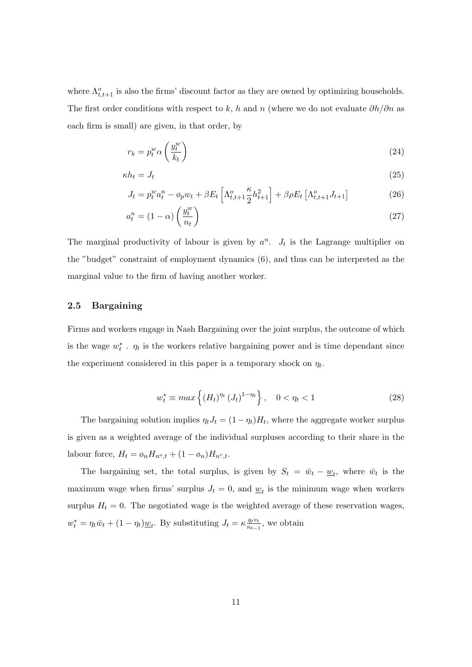where  $\Lambda_{t,t+1}^o$  is also the firms' discount factor as they are owned by optimizing households. The first order conditions with respect to *k*, *h* and *n* (where we do not evaluate *∂h/∂n* as each firm is small) are given, in that order, by

$$
r_k = p_t^w \alpha \left(\frac{y_t^w}{k_t}\right) \tag{24}
$$

$$
\kappa h_t = J_t \tag{25}
$$

$$
J_t = p_t^w a_t^n - \varphi_p w_t + \beta E_t \left[ \Lambda_{t,t+1}^o \frac{\kappa}{2} h_{t+1}^2 \right] + \beta \rho E_t \left[ \Lambda_{t,t+1}^o J_{t+1} \right]
$$
(26)

$$
a_t^n = (1 - \alpha) \left(\frac{y_t^w}{n_t}\right) \tag{27}
$$

The marginal productivity of labour is given by  $a^n$ .  $J_t$  is the Lagrange multiplier on the "budget" constraint of employment dynamics (6), and thus can be interpreted as the marginal value to the firm of having another worker.

### **2.5 Bargaining**

Firms and workers engage in Nash Bargaining over the joint surplus, the outcome of which is the wage  $w_t^*$ .  $\eta_t$  is the workers relative bargaining power and is time dependant since the experiment considered in this paper is a temporary shock on  $\eta_t$ .

$$
w_t^* \equiv \max\left\{ (H_t)^{\eta_t} (J_t)^{1 - \eta_t} \right\}, \quad 0 < \eta_t < 1 \tag{28}
$$

The bargaining solution implies  $\eta_t J_t = (1 - \eta_t) H_t$ , where the aggregate worker surplus is given as a weighted average of the individual surpluses according to their share in the labour force,  $H_t = \phi_n H_{n^o,t} + (1 - \phi_n) H_{n^r,t}$ .

The bargaining set, the total surplus, is given by  $S_t = \bar{w}_t - \underline{w}_t$ , where  $\bar{w}_t$  is the maximum wage when firms' surplus  $J_t = 0$ , and  $\underline{w}_t$  is the minimum wage when workers surplus  $H_t = 0$ . The negotiated wage is the weighted average of these reservation wages,  $w_t^* = \eta_t \bar{w}_t + (1 - \eta_t) \underline{w}_t$ . By substituting  $J_t = \kappa \frac{q_t v_t}{n_{t-1}}$  $\frac{q_t v_t}{n_{t-1}}$ , we obtain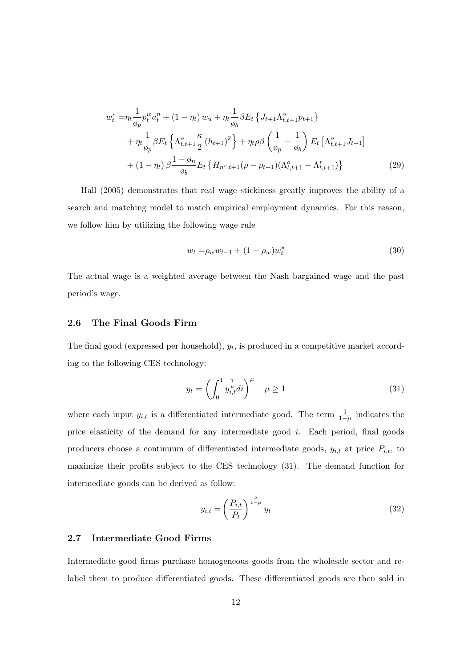$$
w_t^* = \eta_t \frac{1}{\phi_p} p_t^w a_t^n + (1 - \eta_t) w_u + \eta_t \frac{1}{\phi_b} \beta E_t \{ J_{t+1} \Lambda_{t,t+1}^o p_{t+1} \} + \eta_t \frac{1}{\phi_p} \beta E_t \{ \Lambda_{t,t+1}^o \frac{\kappa}{2} (h_{t+1})^2 \} + \eta_t \rho \beta \left( \frac{1}{\phi_p} - \frac{1}{\phi_b} \right) E_t \left[ \Lambda_{t,t+1}^o J_{t+1} \right] + (1 - \eta_t) \beta \frac{1 - \phi_n}{\phi_b} E_t \{ H_{n^r, t+1} (\rho - p_{t+1}) (\Lambda_{t,t+1}^o - \Lambda_{t,t+1}^r) \} \tag{29}
$$

Hall (2005) demonstrates that real wage stickiness greatly improves the ability of a search and matching model to match empirical employment dynamics. For this reason, we follow him by utilizing the following wage rule

$$
w_t = \rho_w w_{t-1} + (1 - \rho_w) w_t^* \tag{30}
$$

The actual wage is a weighted average between the Nash bargained wage and the past period's wage.

### **2.6 The Final Goods Firm**

The final good (expressed per household),  $y_t$ , is produced in a competitive market according to the following CES technology:

$$
y_t = \left(\int_0^1 y_{i,t}^{\frac{1}{\mu}} dt\right)^\mu \quad \mu \ge 1
$$
\n(31)

where each input  $y_{i,t}$  is a differentiated intermediate good. The term  $\frac{1}{1-\mu}$  indicates the price elasticity of the demand for any intermediate good *i*. Each period, final goods producers choose a continuum of differentiated intermediate goods,  $y_{i,t}$  at price  $P_{i,t}$ , to maximize their profits subject to the CES technology (31). The demand function for intermediate goods can be derived as follow:

$$
y_{i,t} = \left(\frac{P_{i,t}}{P_t}\right)^{\frac{\mu}{1-\mu}} y_t \tag{32}
$$

### **2.7 Intermediate Good Firms**

Intermediate good firms purchase homogeneous goods from the wholesale sector and relabel them to produce differentiated goods. These differentiated goods are then sold in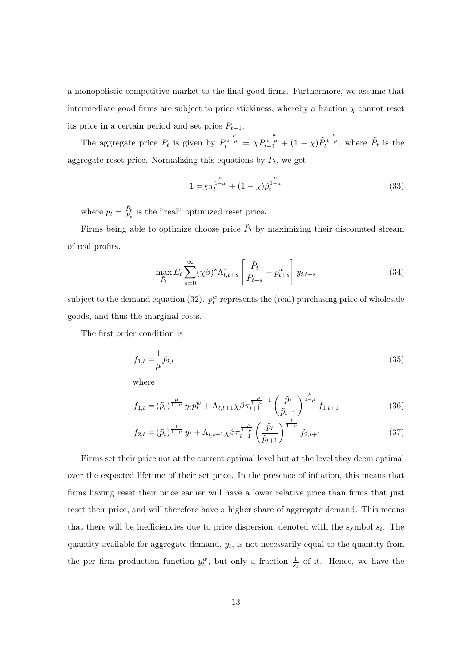a monopolistic competitive market to the final good firms. Furthermore, we assume that intermediate good firms are subject to price stickiness, whereby a fraction  $\chi$  cannot reset its price in a certain period and set price  $P_{t-1}$ .

The aggregate price  $P_t$  is given by  $P_t^{\frac{-\mu}{1-\mu}} = \chi P_{t-1}^{\frac{-\mu}{1-\mu}} + (1-\chi)\tilde{P}_t^{\frac{-\mu}{1-\mu}}$ , where  $\tilde{P}_t$  is the aggregate reset price. Normalizing this equations by  $P_t$ , we get:

$$
1 = \chi \pi_t^{\frac{\mu}{1-\mu}} + (1-\chi)\tilde{p}_t^{\frac{\mu}{1-\mu}}
$$
\n(33)

where  $\tilde{p}_t = \frac{\tilde{P}_t}{P_t}$  $\frac{P_t}{P_t}$  is the "real" optimized reset price.

Firms being able to optimize choose price  $\tilde{P}_t$  by maximizing their discounted stream of real profits.

$$
\max_{\tilde{P}_t} E_t \sum_{s=0}^{\infty} (\chi \beta)^s \Lambda_{t,t+s}^o \left[ \frac{\tilde{P}_t}{P_{t+s}} - p_{t+s}^w \right] y_{i,t+s} \tag{34}
$$

subject to the demand equation  $(32)$ .  $p_t^w$  represents the (real) purchasing price of wholesale goods, and thus the marginal costs.

The first order condition is

$$
f_{1,t} = \frac{1}{\mu} f_{2,t} \tag{35}
$$

where

$$
f_{1,t} = (\tilde{p}_t)^{\frac{\mu}{1-\mu}} y_t p_t^w + \Lambda_{t,t+1} \chi \beta \pi_{t+1}^{\frac{-\mu}{1-\mu}-1} \left(\frac{\tilde{p}_t}{\tilde{p}_{t+1}}\right)^{\frac{\mu}{1-\mu}} f_{1,t+1}
$$
(36)

$$
f_{2,t} = (\tilde{p}_t)^{\frac{1}{1-\mu}} y_t + \Lambda_{t,t+1} \chi \beta \pi_{t+1}^{\frac{-\mu}{1-\mu}} \left(\frac{\tilde{p}_t}{\tilde{p}_{t+1}}\right)^{\frac{1}{1-\mu}} f_{2,t+1}
$$
(37)

Firms set their price not at the current optimal level but at the level they deem optimal over the expected lifetime of their set price. In the presence of inflation, this means that firms having reset their price earlier will have a lower relative price than firms that just reset their price, and will therefore have a higher share of aggregate demand. This means that there will be inefficiencies due to price dispersion, denoted with the symbol *s<sup>t</sup>* . The quantity available for aggregate demand,  $y_t$ , is not necessarily equal to the quantity from the per firm production function  $y_t^w$ , but only a fraction  $\frac{1}{s_t}$  of it. Hence, we have the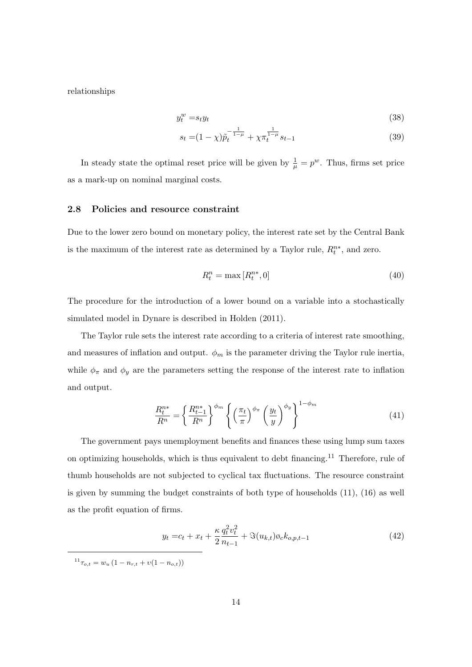relationships

$$
y_t^w = s_t y_t \tag{38}
$$

$$
s_t = (1 - \chi)\tilde{p}_t^{-\frac{1}{1 - \mu}} + \chi \pi_t^{\frac{1}{1 - \mu}} s_{t-1}
$$
\n(39)

In steady state the optimal reset price will be given by  $\frac{1}{\mu} = p^w$ . Thus, firms set price as a mark-up on nominal marginal costs.

### **2.8 Policies and resource constraint**

Due to the lower zero bound on monetary policy, the interest rate set by the Central Bank is the maximum of the interest rate as determined by a Taylor rule,  $R_t^{n*}$ , and zero.

$$
R_t^n = \max\left[R_t^{n*}, 0\right] \tag{40}
$$

The procedure for the introduction of a lower bound on a variable into a stochastically simulated model in Dynare is described in Holden (2011).

The Taylor rule sets the interest rate according to a criteria of interest rate smoothing, and measures of inflation and output.  $\phi_m$  is the parameter driving the Taylor rule inertia, while  $\phi_{\pi}$  and  $\phi_{y}$  are the parameters setting the response of the interest rate to inflation and output.

$$
\frac{R_t^{n*}}{R^n} = \left\{ \frac{R_{t-1}^{n*}}{R^n} \right\}^{\phi_m} \left\{ \left(\frac{\pi_t}{\pi}\right)^{\phi_\pi} \left(\frac{y_t}{y}\right)^{\phi_y} \right\}^{1-\phi_m} \tag{41}
$$

The government pays unemployment benefits and finances these using lump sum taxes on optimizing households, which is thus equivalent to debt financing.<sup>11</sup> Therefore, rule of thumb households are not subjected to cyclical tax fluctuations. The resource constraint is given by summing the budget constraints of both type of households (11), (16) as well as the profit equation of firms.

$$
y_t = c_t + x_t + \frac{\kappa}{2} \frac{q_t^2 v_t^2}{n_{t-1}} + \Im(u_{k,t}) \varphi_c k_{o,p,t-1}
$$
\n(42)

 $^{11}\tau_{o,t} = w_u(1 - n_{r,t} + v(1 - n_{o,t}))$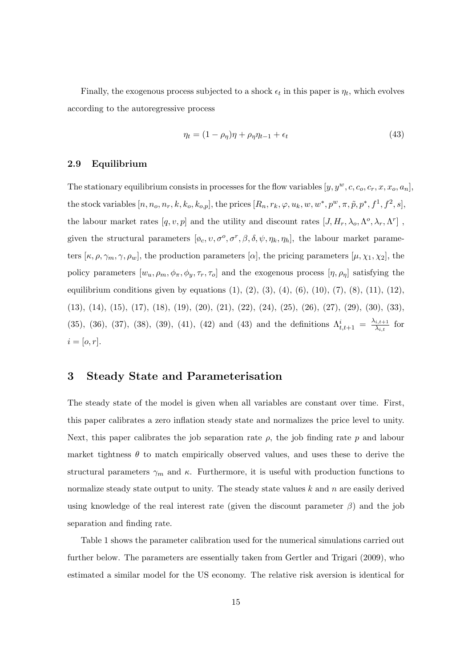Finally, the exogenous process subjected to a shock  $\epsilon_t$  in this paper is  $\eta_t$ , which evolves according to the autoregressive process

$$
\eta_t = (1 - \rho_\eta)\eta + \rho_\eta \eta_{t-1} + \epsilon_t \tag{43}
$$

#### **2.9 Equilibrium**

The stationary equilibrium consists in processes for the flow variables  $[y, y^w, c, c_o, c_r, x, x_o, a_n]$ , the stock variables  $[n, n_o, n_r, k, k_o, k_{o,p}]$ , the prices  $[R_n, r_k, \varphi, u_k, w, w^*, p^w, \pi, \tilde{p}, p^*, f^1, f^2, s]$ , the labour market rates  $[q, v, p]$  and the utility and discount rates  $[J, H_r, \lambda_o, \Lambda^o, \lambda_r, \Lambda^r]$ , given the structural parameters  $[\phi_c, v, \sigma^o, \sigma^r, \beta, \delta, \psi, \eta_k, \eta_h]$ , the labour market parameters  $[\kappa, \rho, \gamma_m, \gamma, \rho_w]$ , the production parameters  $[\alpha]$ , the pricing parameters  $[\mu, \chi_1, \chi_2]$ , the policy parameters  $[w_u, \rho_m, \phi_\pi, \phi_y, \tau_r, \tau_o]$  and the exogenous process  $[\eta, \rho_\eta]$  satisfying the equilibrium conditions given by equations  $(1), (2), (3), (4), (6), (10), (7), (8), (11), (12),$ (13), (14), (15), (17), (18), (19), (20), (21), (22), (24), (25), (26), (27), (29), (30), (33), (35), (36), (37), (38), (39), (41), (42) and (43) and the definitions  $\Lambda^i_{t,t+1} = \frac{\lambda_{i,t+1}}{\lambda_{i,t}}$  $\frac{\lambda_{i,t+1}}{\lambda_{i,t}}$  for  $i = [o, r]$ .

# **3 Steady State and Parameterisation**

The steady state of the model is given when all variables are constant over time. First, this paper calibrates a zero inflation steady state and normalizes the price level to unity. Next, this paper calibrates the job separation rate  $\rho$ , the job finding rate  $p$  and labour market tightness  $\theta$  to match empirically observed values, and uses these to derive the structural parameters  $\gamma_m$  and  $\kappa$ . Furthermore, it is useful with production functions to normalize steady state output to unity. The steady state values *k* and *n* are easily derived using knowledge of the real interest rate (given the discount parameter  $\beta$ ) and the job separation and finding rate.

Table 1 shows the parameter calibration used for the numerical simulations carried out further below. The parameters are essentially taken from Gertler and Trigari (2009), who estimated a similar model for the US economy. The relative risk aversion is identical for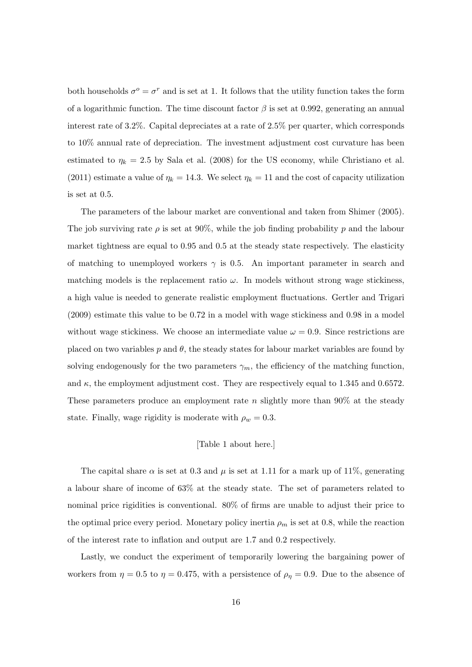both households  $\sigma^o = \sigma^r$  and is set at 1. It follows that the utility function takes the form of a logarithmic function. The time discount factor  $\beta$  is set at 0.992, generating an annual interest rate of 3.2%. Capital depreciates at a rate of 2.5% per quarter, which corresponds to 10% annual rate of depreciation. The investment adjustment cost curvature has been estimated to  $\eta_k = 2.5$  by Sala et al. (2008) for the US economy, while Christiano et al. (2011) estimate a value of  $\eta_k = 14.3$ . We select  $\eta_k = 11$  and the cost of capacity utilization is set at 0.5.

The parameters of the labour market are conventional and taken from Shimer (2005). The job surviving rate  $\rho$  is set at 90%, while the job finding probability  $p$  and the labour market tightness are equal to 0.95 and 0.5 at the steady state respectively. The elasticity of matching to unemployed workers  $\gamma$  is 0.5. An important parameter in search and matching models is the replacement ratio  $\omega$ . In models without strong wage stickiness, a high value is needed to generate realistic employment fluctuations. Gertler and Trigari (2009) estimate this value to be 0*.*72 in a model with wage stickiness and 0*.*98 in a model without wage stickiness. We choose an intermediate value  $\omega = 0.9$ . Since restrictions are placed on two variables  $p$  and  $\theta$ , the steady states for labour market variables are found by solving endogenously for the two parameters  $\gamma_m$ , the efficiency of the matching function, and  $\kappa$ , the employment adjustment cost. They are respectively equal to 1.345 and 0.6572. These parameters produce an employment rate *n* slightly more than 90% at the steady state. Finally, wage rigidity is moderate with  $\rho_w = 0.3$ .

#### [Table 1 about here.]

The capital share  $\alpha$  is set at 0.3 and  $\mu$  is set at 1.11 for a mark up of 11%, generating a labour share of income of 63% at the steady state. The set of parameters related to nominal price rigidities is conventional. 80% of firms are unable to adjust their price to the optimal price every period. Monetary policy inertia  $\rho_m$  is set at 0.8, while the reaction of the interest rate to inflation and output are 1.7 and 0.2 respectively.

Lastly, we conduct the experiment of temporarily lowering the bargaining power of workers from  $\eta = 0.5$  to  $\eta = 0.475$ , with a persistence of  $\rho_{\eta} = 0.9$ . Due to the absence of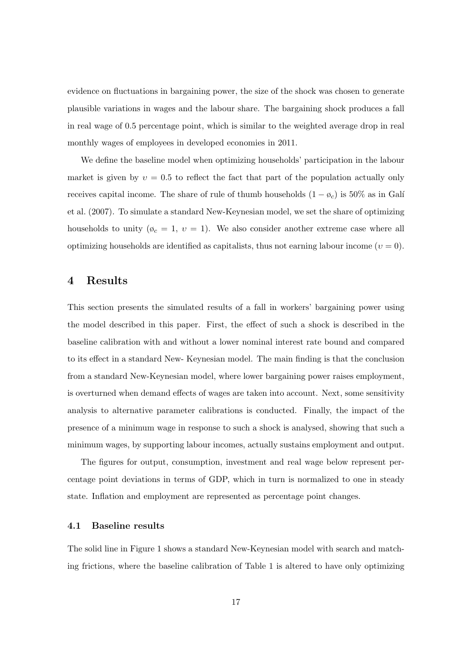evidence on fluctuations in bargaining power, the size of the shock was chosen to generate plausible variations in wages and the labour share. The bargaining shock produces a fall in real wage of 0.5 percentage point, which is similar to the weighted average drop in real monthly wages of employees in developed economies in 2011.

We define the baseline model when optimizing households' participation in the labour market is given by  $v = 0.5$  to reflect the fact that part of the population actually only receives capital income. The share of rule of thumb households  $(1 - \phi_c)$  is 50% as in Gali et al. (2007). To simulate a standard New-Keynesian model, we set the share of optimizing households to unity  $(\phi_c = 1, v = 1)$ . We also consider another extreme case where all optimizing households are identified as capitalists, thus not earning labour income  $(v = 0)$ .

## **4 Results**

This section presents the simulated results of a fall in workers' bargaining power using the model described in this paper. First, the effect of such a shock is described in the baseline calibration with and without a lower nominal interest rate bound and compared to its effect in a standard New- Keynesian model. The main finding is that the conclusion from a standard New-Keynesian model, where lower bargaining power raises employment, is overturned when demand effects of wages are taken into account. Next, some sensitivity analysis to alternative parameter calibrations is conducted. Finally, the impact of the presence of a minimum wage in response to such a shock is analysed, showing that such a minimum wages, by supporting labour incomes, actually sustains employment and output.

The figures for output, consumption, investment and real wage below represent percentage point deviations in terms of GDP, which in turn is normalized to one in steady state. Inflation and employment are represented as percentage point changes.

### **4.1 Baseline results**

The solid line in Figure 1 shows a standard New-Keynesian model with search and matching frictions, where the baseline calibration of Table 1 is altered to have only optimizing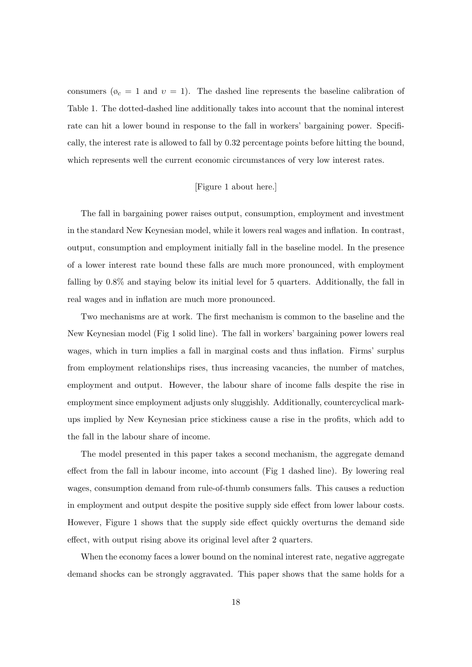consumers ( $\phi_c = 1$  and  $v = 1$ ). The dashed line represents the baseline calibration of Table 1. The dotted-dashed line additionally takes into account that the nominal interest rate can hit a lower bound in response to the fall in workers' bargaining power. Specifically, the interest rate is allowed to fall by 0*.*32 percentage points before hitting the bound, which represents well the current economic circumstances of very low interest rates.

### [Figure 1 about here.]

The fall in bargaining power raises output, consumption, employment and investment in the standard New Keynesian model, while it lowers real wages and inflation. In contrast, output, consumption and employment initially fall in the baseline model. In the presence of a lower interest rate bound these falls are much more pronounced, with employment falling by 0*.*8% and staying below its initial level for 5 quarters. Additionally, the fall in real wages and in inflation are much more pronounced.

Two mechanisms are at work. The first mechanism is common to the baseline and the New Keynesian model (Fig 1 solid line). The fall in workers' bargaining power lowers real wages, which in turn implies a fall in marginal costs and thus inflation. Firms' surplus from employment relationships rises, thus increasing vacancies, the number of matches, employment and output. However, the labour share of income falls despite the rise in employment since employment adjusts only sluggishly. Additionally, countercyclical markups implied by New Keynesian price stickiness cause a rise in the profits, which add to the fall in the labour share of income.

The model presented in this paper takes a second mechanism, the aggregate demand effect from the fall in labour income, into account (Fig 1 dashed line). By lowering real wages, consumption demand from rule-of-thumb consumers falls. This causes a reduction in employment and output despite the positive supply side effect from lower labour costs. However, Figure 1 shows that the supply side effect quickly overturns the demand side effect, with output rising above its original level after 2 quarters.

When the economy faces a lower bound on the nominal interest rate, negative aggregate demand shocks can be strongly aggravated. This paper shows that the same holds for a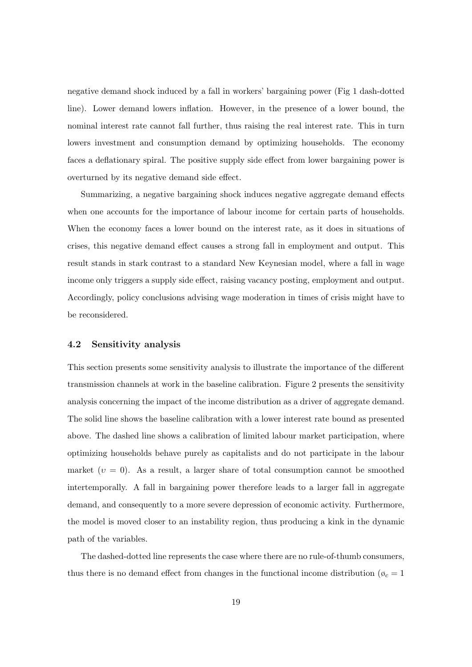negative demand shock induced by a fall in workers' bargaining power (Fig 1 dash-dotted line). Lower demand lowers inflation. However, in the presence of a lower bound, the nominal interest rate cannot fall further, thus raising the real interest rate. This in turn lowers investment and consumption demand by optimizing households. The economy faces a deflationary spiral. The positive supply side effect from lower bargaining power is overturned by its negative demand side effect.

Summarizing, a negative bargaining shock induces negative aggregate demand effects when one accounts for the importance of labour income for certain parts of households. When the economy faces a lower bound on the interest rate, as it does in situations of crises, this negative demand effect causes a strong fall in employment and output. This result stands in stark contrast to a standard New Keynesian model, where a fall in wage income only triggers a supply side effect, raising vacancy posting, employment and output. Accordingly, policy conclusions advising wage moderation in times of crisis might have to be reconsidered.

#### **4.2 Sensitivity analysis**

This section presents some sensitivity analysis to illustrate the importance of the different transmission channels at work in the baseline calibration. Figure 2 presents the sensitivity analysis concerning the impact of the income distribution as a driver of aggregate demand. The solid line shows the baseline calibration with a lower interest rate bound as presented above. The dashed line shows a calibration of limited labour market participation, where optimizing households behave purely as capitalists and do not participate in the labour market  $(v = 0)$ . As a result, a larger share of total consumption cannot be smoothed intertemporally. A fall in bargaining power therefore leads to a larger fall in aggregate demand, and consequently to a more severe depression of economic activity. Furthermore, the model is moved closer to an instability region, thus producing a kink in the dynamic path of the variables.

The dashed-dotted line represents the case where there are no rule-of-thumb consumers, thus there is no demand effect from changes in the functional income distribution ( $\varphi_c = 1$ )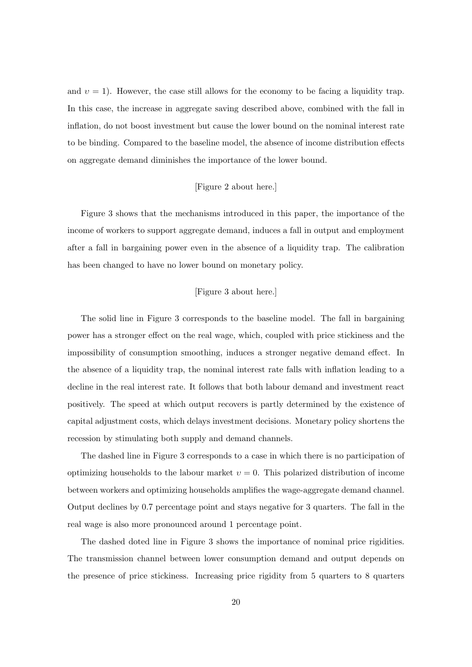and  $v = 1$ ). However, the case still allows for the economy to be facing a liquidity trap. In this case, the increase in aggregate saving described above, combined with the fall in inflation, do not boost investment but cause the lower bound on the nominal interest rate to be binding. Compared to the baseline model, the absence of income distribution effects on aggregate demand diminishes the importance of the lower bound.

## [Figure 2 about here.]

Figure 3 shows that the mechanisms introduced in this paper, the importance of the income of workers to support aggregate demand, induces a fall in output and employment after a fall in bargaining power even in the absence of a liquidity trap. The calibration has been changed to have no lower bound on monetary policy.

## [Figure 3 about here.]

The solid line in Figure 3 corresponds to the baseline model. The fall in bargaining power has a stronger effect on the real wage, which, coupled with price stickiness and the impossibility of consumption smoothing, induces a stronger negative demand effect. In the absence of a liquidity trap, the nominal interest rate falls with inflation leading to a decline in the real interest rate. It follows that both labour demand and investment react positively. The speed at which output recovers is partly determined by the existence of capital adjustment costs, which delays investment decisions. Monetary policy shortens the recession by stimulating both supply and demand channels.

The dashed line in Figure 3 corresponds to a case in which there is no participation of optimizing households to the labour market  $v = 0$ . This polarized distribution of income between workers and optimizing households amplifies the wage-aggregate demand channel. Output declines by 0.7 percentage point and stays negative for 3 quarters. The fall in the real wage is also more pronounced around 1 percentage point.

The dashed doted line in Figure 3 shows the importance of nominal price rigidities. The transmission channel between lower consumption demand and output depends on the presence of price stickiness. Increasing price rigidity from 5 quarters to 8 quarters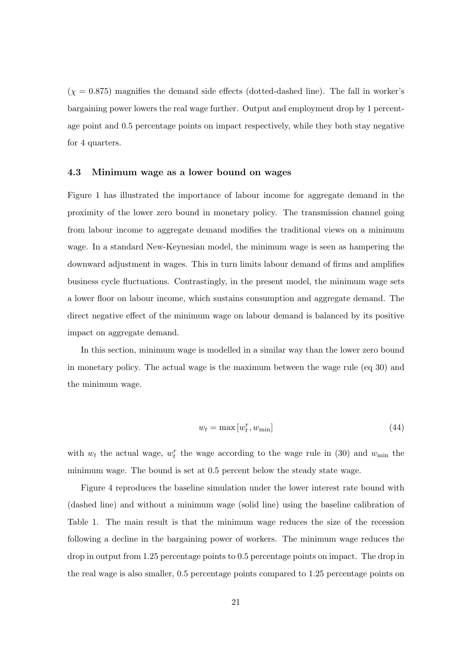$(\chi = 0.875)$  magnifies the demand side effects (dotted-dashed line). The fall in worker's bargaining power lowers the real wage further. Output and employment drop by 1 percentage point and 0.5 percentage points on impact respectively, while they both stay negative for 4 quarters.

#### **4.3 Minimum wage as a lower bound on wages**

Figure 1 has illustrated the importance of labour income for aggregate demand in the proximity of the lower zero bound in monetary policy. The transmission channel going from labour income to aggregate demand modifies the traditional views on a minimum wage. In a standard New-Keynesian model, the minimum wage is seen as hampering the downward adjustment in wages. This in turn limits labour demand of firms and amplifies business cycle fluctuations. Contrastingly, in the present model, the minimum wage sets a lower floor on labour income, which sustains consumption and aggregate demand. The direct negative effect of the minimum wage on labour demand is balanced by its positive impact on aggregate demand.

In this section, minimum wage is modelled in a similar way than the lower zero bound in monetary policy. The actual wage is the maximum between the wage rule (eq 30) and the minimum wage.

$$
w_t = \max\left[w_t^r, w_{\min}\right] \tag{44}
$$

with  $w_t$  the actual wage,  $w_t^r$  the wage according to the wage rule in (30) and  $w_{\min}$  the minimum wage. The bound is set at 0*.*5 percent below the steady state wage.

Figure 4 reproduces the baseline simulation under the lower interest rate bound with (dashed line) and without a minimum wage (solid line) using the baseline calibration of Table 1. The main result is that the minimum wage reduces the size of the recession following a decline in the bargaining power of workers. The minimum wage reduces the drop in output from 1.25 percentage points to 0.5 percentage points on impact. The drop in the real wage is also smaller, 0.5 percentage points compared to 1.25 percentage points on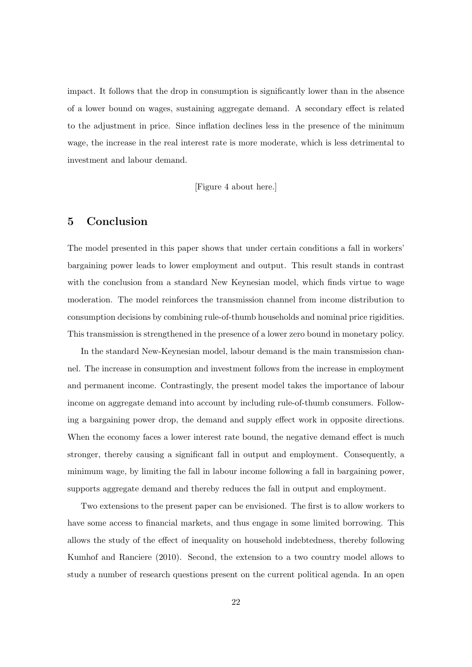impact. It follows that the drop in consumption is significantly lower than in the absence of a lower bound on wages, sustaining aggregate demand. A secondary effect is related to the adjustment in price. Since inflation declines less in the presence of the minimum wage, the increase in the real interest rate is more moderate, which is less detrimental to investment and labour demand.

[Figure 4 about here.]

# **5 Conclusion**

The model presented in this paper shows that under certain conditions a fall in workers' bargaining power leads to lower employment and output. This result stands in contrast with the conclusion from a standard New Keynesian model, which finds virtue to wage moderation. The model reinforces the transmission channel from income distribution to consumption decisions by combining rule-of-thumb households and nominal price rigidities. This transmission is strengthened in the presence of a lower zero bound in monetary policy.

In the standard New-Keynesian model, labour demand is the main transmission channel. The increase in consumption and investment follows from the increase in employment and permanent income. Contrastingly, the present model takes the importance of labour income on aggregate demand into account by including rule-of-thumb consumers. Following a bargaining power drop, the demand and supply effect work in opposite directions. When the economy faces a lower interest rate bound, the negative demand effect is much stronger, thereby causing a significant fall in output and employment. Consequently, a minimum wage, by limiting the fall in labour income following a fall in bargaining power, supports aggregate demand and thereby reduces the fall in output and employment.

Two extensions to the present paper can be envisioned. The first is to allow workers to have some access to financial markets, and thus engage in some limited borrowing. This allows the study of the effect of inequality on household indebtedness, thereby following Kumhof and Ranciere (2010). Second, the extension to a two country model allows to study a number of research questions present on the current political agenda. In an open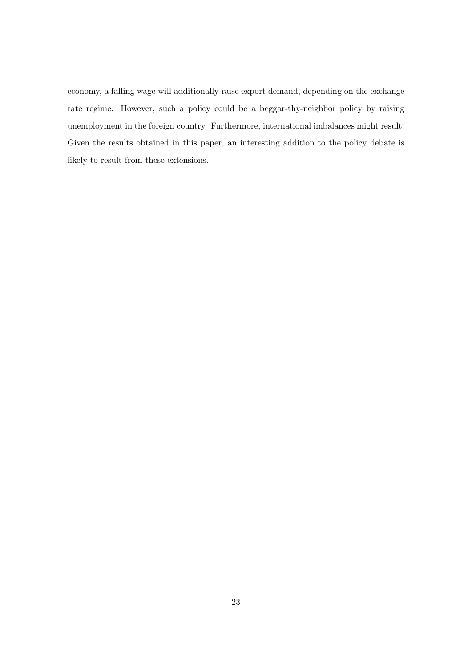economy, a falling wage will additionally raise export demand, depending on the exchange rate regime. However, such a policy could be a beggar-thy-neighbor policy by raising unemployment in the foreign country. Furthermore, international imbalances might result. Given the results obtained in this paper, an interesting addition to the policy debate is likely to result from these extensions.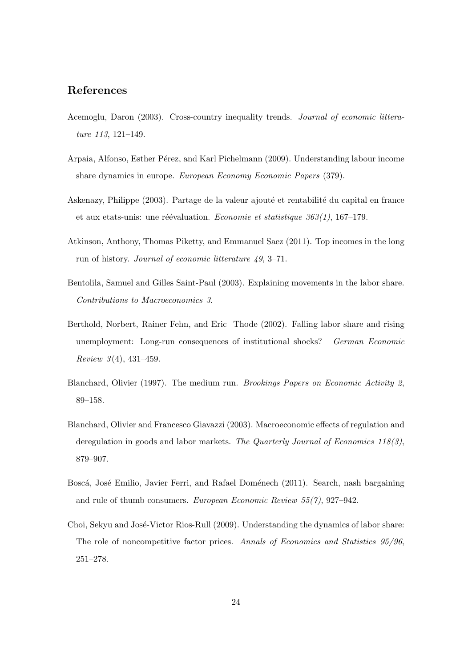# **References**

- Acemoglu, Daron (2003). Cross-country inequality trends. *Journal of economic litterature 113*, 121–149.
- Arpaia, Alfonso, Esther Pérez, and Karl Pichelmann (2009). Understanding labour income share dynamics in europe. *European Economy Economic Papers* (379).
- Askenazy, Philippe (2003). Partage de la valeur ajouté et rentabilité du capital en france et aux etats-unis: une réévaluation. *Economie et statistique 363(1)*, 167–179.
- Atkinson, Anthony, Thomas Piketty, and Emmanuel Saez (2011). Top incomes in the long run of history. *Journal of economic litterature 49*, 3–71.
- Bentolila, Samuel and Gilles Saint-Paul (2003). Explaining movements in the labor share. *Contributions to Macroeconomics 3*.
- Berthold, Norbert, Rainer Fehn, and Eric Thode (2002). Falling labor share and rising unemployment: Long-run consequences of institutional shocks? *German Economic Review 3* (4), 431–459.
- Blanchard, Olivier (1997). The medium run. *Brookings Papers on Economic Activity 2*, 89–158.
- Blanchard, Olivier and Francesco Giavazzi (2003). Macroeconomic effects of regulation and deregulation in goods and labor markets. *The Quarterly Journal of Economics 118(3)*, 879–907.
- Boscá, José Emilio, Javier Ferri, and Rafael Doménech (2011). Search, nash bargaining and rule of thumb consumers. *European Economic Review 55(7)*, 927–942.
- Choi, Sekyu and José-Victor Rios-Rull (2009). Understanding the dynamics of labor share: The role of noncompetitive factor prices. *Annals of Economics and Statistics 95/96*, 251–278.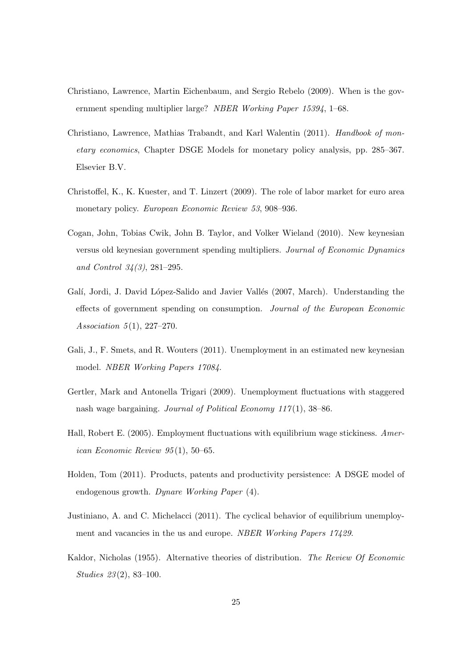- Christiano, Lawrence, Martin Eichenbaum, and Sergio Rebelo (2009). When is the government spending multiplier large? *NBER Working Paper 15394*, 1–68.
- Christiano, Lawrence, Mathias Trabandt, and Karl Walentin (2011). *Handbook of monetary economics*, Chapter DSGE Models for monetary policy analysis, pp. 285–367. Elsevier B.V.
- Christoffel, K., K. Kuester, and T. Linzert (2009). The role of labor market for euro area monetary policy. *European Economic Review 53*, 908–936.
- Cogan, John, Tobias Cwik, John B. Taylor, and Volker Wieland (2010). New keynesian versus old keynesian government spending multipliers. *Journal of Economic Dynamics and Control 34(3)*, 281–295.
- Galí, Jordi, J. David López-Salido and Javier Vallés (2007, March). Understanding the effects of government spending on consumption. *Journal of the European Economic Association 5* (1), 227–270.
- Gali, J., F. Smets, and R. Wouters (2011). Unemployment in an estimated new keynesian model. *NBER Working Papers 17084*.
- Gertler, Mark and Antonella Trigari (2009). Unemployment fluctuations with staggered nash wage bargaining. *Journal of Political Economy 117* (1), 38–86.
- Hall, Robert E. (2005). Employment fluctuations with equilibrium wage stickiness. *American Economic Review 95* (1), 50–65.
- Holden, Tom (2011). Products, patents and productivity persistence: A DSGE model of endogenous growth. *Dynare Working Paper* (4).
- Justiniano, A. and C. Michelacci (2011). The cyclical behavior of equilibrium unemployment and vacancies in the us and europe. *NBER Working Papers 17429*.
- Kaldor, Nicholas (1955). Alternative theories of distribution. *The Review Of Economic Studies 23* (2), 83–100.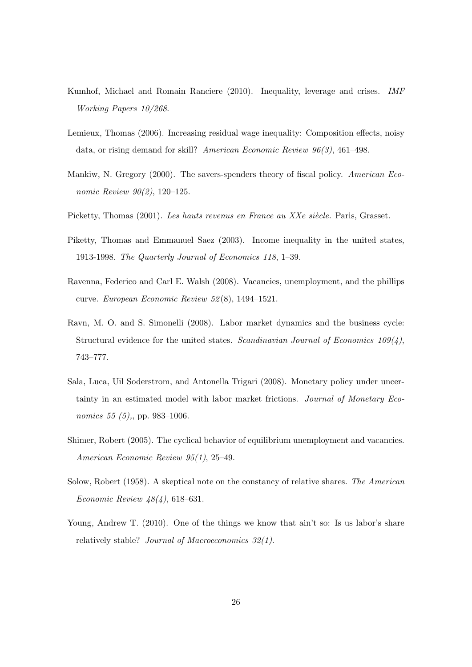- Kumhof, Michael and Romain Ranciere (2010). Inequality, leverage and crises. *IMF Working Papers 10/268*.
- Lemieux, Thomas (2006). Increasing residual wage inequality: Composition effects, noisy data, or rising demand for skill? *American Economic Review 96(3)*, 461–498.
- Mankiw, N. Gregory (2000). The savers-spenders theory of fiscal policy. *American Economic Review 90(2)*, 120–125.
- Picketty, Thomas (2001). Les hauts revenus en France au XXe siècle. Paris, Grasset.
- Piketty, Thomas and Emmanuel Saez (2003). Income inequality in the united states, 1913-1998. *The Quarterly Journal of Economics 118*, 1–39.
- Ravenna, Federico and Carl E. Walsh (2008). Vacancies, unemployment, and the phillips curve. *European Economic Review 52* (8), 1494–1521.
- Ravn, M. O. and S. Simonelli (2008). Labor market dynamics and the business cycle: Structural evidence for the united states. *Scandinavian Journal of Economics 109(4)*, 743–777.
- Sala, Luca, Uil Soderstrom, and Antonella Trigari (2008). Monetary policy under uncertainty in an estimated model with labor market frictions. *Journal of Monetary Economics 55 (5),*, pp. 983–1006.
- Shimer, Robert (2005). The cyclical behavior of equilibrium unemployment and vacancies. *American Economic Review 95(1)*, 25–49.
- Solow, Robert (1958). A skeptical note on the constancy of relative shares. *The American Economic Review 48(4)*, 618–631.
- Young, Andrew T. (2010). One of the things we know that ain't so: Is us labor's share relatively stable? *Journal of Macroeconomics 32(1)*.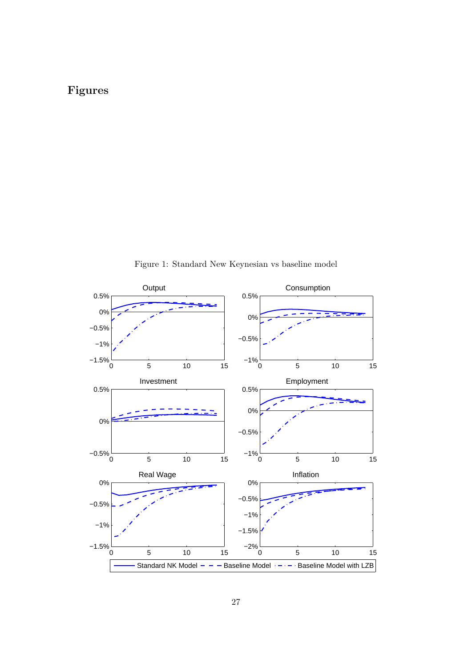# **Figures**



Figure 1: Standard New Keynesian vs baseline model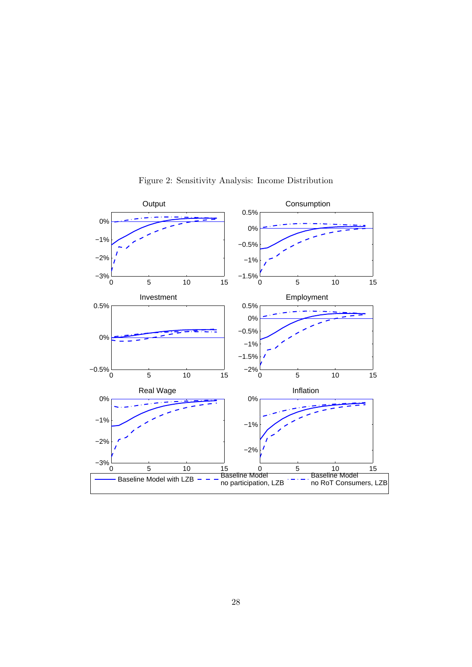

Figure 2: Sensitivity Analysis: Income Distribution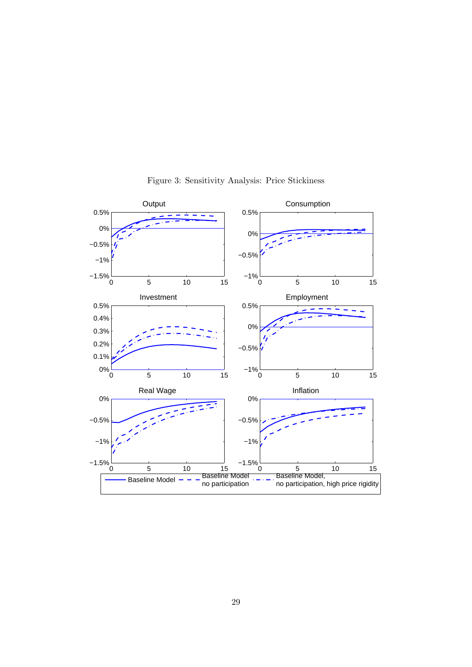

Figure 3: Sensitivity Analysis: Price Stickiness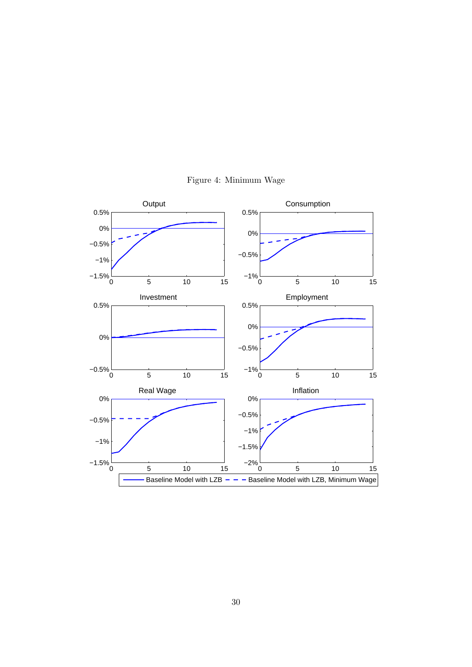

Figure 4: Minimum Wage